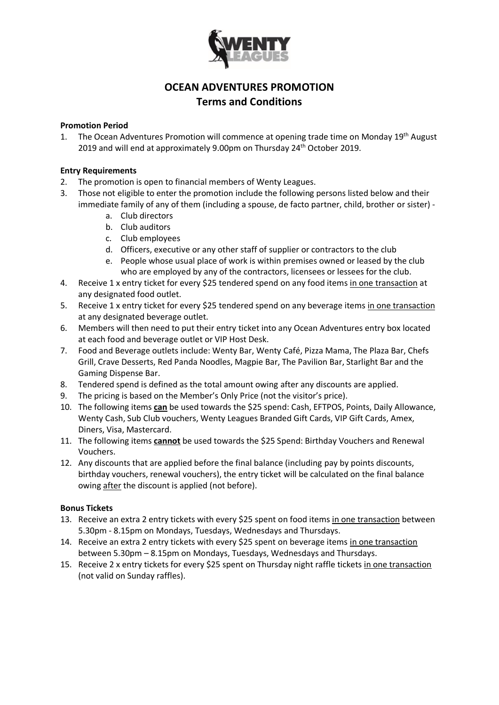

# **OCEAN ADVENTURES PROMOTION Terms and Conditions**

## **Promotion Period**

1. The Ocean Adventures Promotion will commence at opening trade time on Monday 19<sup>th</sup> August 2019 and will end at approximately 9.00pm on Thursday 24<sup>th</sup> October 2019.

## **Entry Requirements**

- 2. The promotion is open to financial members of Wenty Leagues.
- 3. Those not eligible to enter the promotion include the following persons listed below and their immediate family of any of them (including a spouse, de facto partner, child, brother or sister)
	- a. Club directors
	- b. Club auditors
	- c. Club employees
	- d. Officers, executive or any other staff of supplier or contractors to the club
	- e. People whose usual place of work is within premises owned or leased by the club who are employed by any of the contractors, licensees or lessees for the club.
- 4. Receive 1 x entry ticket for every \$25 tendered spend on any food items in one transaction at any designated food outlet.
- 5. Receive 1 x entry ticket for every \$25 tendered spend on any beverage items in one transaction at any designated beverage outlet.
- 6. Members will then need to put their entry ticket into any Ocean Adventures entry box located at each food and beverage outlet or VIP Host Desk.
- 7. Food and Beverage outlets include: Wenty Bar, Wenty Café, Pizza Mama, The Plaza Bar, Chefs Grill, Crave Desserts, Red Panda Noodles, Magpie Bar, The Pavilion Bar, Starlight Bar and the Gaming Dispense Bar.
- 8. Tendered spend is defined as the total amount owing after any discounts are applied.
- 9. The pricing is based on the Member's Only Price (not the visitor's price).
- 10. The following items **can** be used towards the \$25 spend: Cash, EFTPOS, Points, Daily Allowance, Wenty Cash, Sub Club vouchers, Wenty Leagues Branded Gift Cards, VIP Gift Cards, Amex, Diners, Visa, Mastercard.
- 11. The following items **cannot** be used towards the \$25 Spend: Birthday Vouchers and Renewal Vouchers.
- 12. Any discounts that are applied before the final balance (including pay by points discounts, birthday vouchers, renewal vouchers), the entry ticket will be calculated on the final balance owing after the discount is applied (not before).

#### **Bonus Tickets**

- 13. Receive an extra 2 entry tickets with every \$25 spent on food items in one transaction between 5.30pm - 8.15pm on Mondays, Tuesdays, Wednesdays and Thursdays.
- 14. Receive an extra 2 entry tickets with every \$25 spent on beverage items in one transaction between 5.30pm – 8.15pm on Mondays, Tuesdays, Wednesdays and Thursdays.
- 15. Receive 2 x entry tickets for every \$25 spent on Thursday night raffle tickets in one transaction (not valid on Sunday raffles).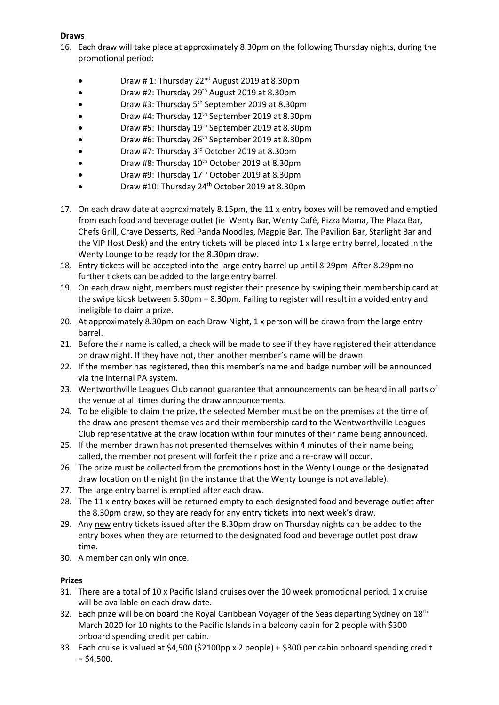# **Draws**

- 16. Each draw will take place at approximately 8.30pm on the following Thursday nights, during the promotional period:
	- Draw # 1: Thursday 22<sup>nd</sup> August 2019 at 8.30pm
	- Draw #2: Thursday 29<sup>th</sup> August 2019 at 8.30pm
	- Draw #3: Thursday 5<sup>th</sup> September 2019 at 8.30pm
	- Draw #4: Thursday 12<sup>th</sup> September 2019 at 8.30pm
	- Draw #5: Thursday 19<sup>th</sup> September 2019 at 8.30pm
	- Draw #6: Thursday 26<sup>th</sup> September 2019 at 8.30pm
	- Draw #7: Thursday 3<sup>rd</sup> October 2019 at 8.30pm
	- Draw #8: Thursday  $10^{th}$  October 2019 at 8.30pm
	- Draw #9: Thursday 17<sup>th</sup> October 2019 at 8.30pm
	- Draw #10: Thursday 24<sup>th</sup> October 2019 at 8.30pm
- 17. On each draw date at approximately 8.15pm, the 11 x entry boxes will be removed and emptied from each food and beverage outlet (ie Wenty Bar, Wenty Café, Pizza Mama, The Plaza Bar, Chefs Grill, Crave Desserts, Red Panda Noodles, Magpie Bar, The Pavilion Bar, Starlight Bar and the VIP Host Desk) and the entry tickets will be placed into 1 x large entry barrel, located in the Wenty Lounge to be ready for the 8.30pm draw.
- 18. Entry tickets will be accepted into the large entry barrel up until 8.29pm. After 8.29pm no further tickets can be added to the large entry barrel.
- 19. On each draw night, members must register their presence by swiping their membership card at the swipe kiosk between 5.30pm – 8.30pm. Failing to register will result in a voided entry and ineligible to claim a prize.
- 20. At approximately 8.30pm on each Draw Night, 1 x person will be drawn from the large entry barrel.
- 21. Before their name is called, a check will be made to see if they have registered their attendance on draw night. If they have not, then another member's name will be drawn.
- 22. If the member has registered, then this member's name and badge number will be announced via the internal PA system.
- 23. Wentworthville Leagues Club cannot guarantee that announcements can be heard in all parts of the venue at all times during the draw announcements.
- 24. To be eligible to claim the prize, the selected Member must be on the premises at the time of the draw and present themselves and their membership card to the Wentworthville Leagues Club representative at the draw location within four minutes of their name being announced.
- 25. If the member drawn has not presented themselves within 4 minutes of their name being called, the member not present will forfeit their prize and a re-draw will occur.
- 26. The prize must be collected from the promotions host in the Wenty Lounge or the designated draw location on the night (in the instance that the Wenty Lounge is not available).
- 27. The large entry barrel is emptied after each draw.
- 28. The 11 x entry boxes will be returned empty to each designated food and beverage outlet after the 8.30pm draw, so they are ready for any entry tickets into next week's draw.
- 29. Any new entry tickets issued after the 8.30pm draw on Thursday nights can be added to the entry boxes when they are returned to the designated food and beverage outlet post draw time.
- 30. A member can only win once.

# **Prizes**

- 31. There are a total of 10 x Pacific Island cruises over the 10 week promotional period. 1 x cruise will be available on each draw date.
- 32. Each prize will be on board the Royal Caribbean Voyager of the Seas departing Sydney on 18<sup>th</sup> March 2020 for 10 nights to the Pacific Islands in a balcony cabin for 2 people with \$300 onboard spending credit per cabin.
- 33. Each cruise is valued at \$4,500 (\$2100pp x 2 people) + \$300 per cabin onboard spending credit  $=$  \$4,500.